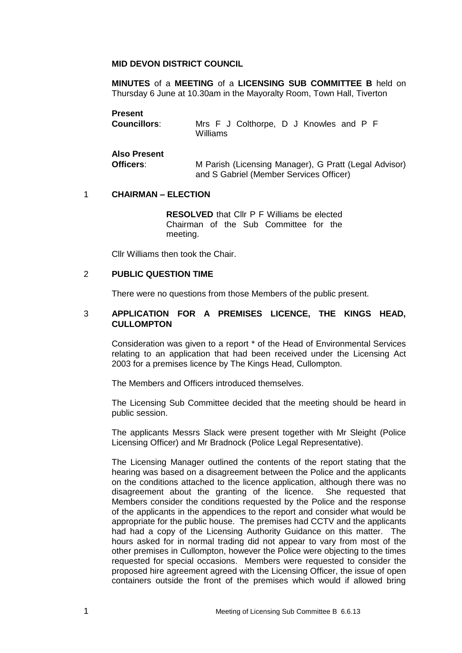## **MID DEVON DISTRICT COUNCIL**

**MINUTES** of a **MEETING** of a **LICENSING SUB COMMITTEE B** held on Thursday 6 June at 10.30am in the Mayoralty Room, Town Hall, Tiverton

| <b>Present</b>                   | Mrs F J Colthorpe, D J Knowles and P F                |
|----------------------------------|-------------------------------------------------------|
| <b>Councillors:</b>              | Williams                                              |
| <b>Also Present</b><br>Officers: | M Parish (Licensing Manager), G Pratt (Legal Advisor) |

## 1 **CHAIRMAN – ELECTION**

**RESOLVED** that Cllr P F Williams be elected Chairman of the Sub Committee for the meeting.

and S Gabriel (Member Services Officer)

Cllr Williams then took the Chair.

## 2 **PUBLIC QUESTION TIME**

There were no questions from those Members of the public present.

## 3 **APPLICATION FOR A PREMISES LICENCE, THE KINGS HEAD, CULLOMPTON**

Consideration was given to a report \* of the Head of Environmental Services relating to an application that had been received under the Licensing Act 2003 for a premises licence by The Kings Head, Cullompton.

The Members and Officers introduced themselves.

The Licensing Sub Committee decided that the meeting should be heard in public session.

The applicants Messrs Slack were present together with Mr Sleight (Police Licensing Officer) and Mr Bradnock (Police Legal Representative).

The Licensing Manager outlined the contents of the report stating that the hearing was based on a disagreement between the Police and the applicants on the conditions attached to the licence application, although there was no disagreement about the granting of the licence. She requested that Members consider the conditions requested by the Police and the response of the applicants in the appendices to the report and consider what would be appropriate for the public house. The premises had CCTV and the applicants had had a copy of the Licensing Authority Guidance on this matter. The hours asked for in normal trading did not appear to vary from most of the other premises in Cullompton, however the Police were objecting to the times requested for special occasions. Members were requested to consider the proposed hire agreement agreed with the Licensing Officer, the issue of open containers outside the front of the premises which would if allowed bring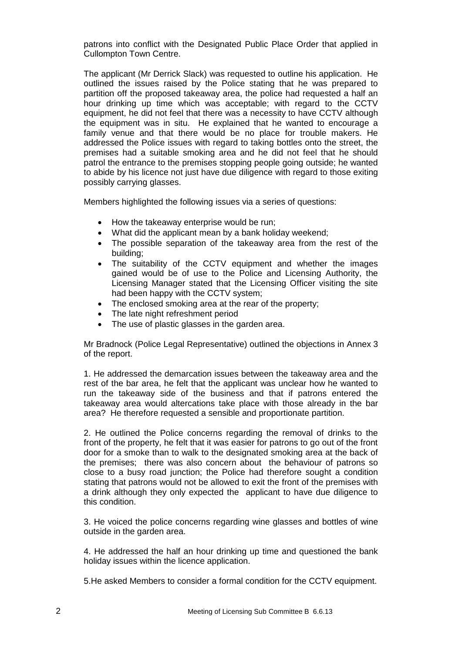patrons into conflict with the Designated Public Place Order that applied in Cullompton Town Centre.

The applicant (Mr Derrick Slack) was requested to outline his application. He outlined the issues raised by the Police stating that he was prepared to partition off the proposed takeaway area, the police had requested a half an hour drinking up time which was acceptable; with regard to the CCTV equipment, he did not feel that there was a necessity to have CCTV although the equipment was in situ. He explained that he wanted to encourage a family venue and that there would be no place for trouble makers. He addressed the Police issues with regard to taking bottles onto the street, the premises had a suitable smoking area and he did not feel that he should patrol the entrance to the premises stopping people going outside; he wanted to abide by his licence not just have due diligence with regard to those exiting possibly carrying glasses.

Members highlighted the following issues via a series of questions:

- How the takeaway enterprise would be run;
- What did the applicant mean by a bank holiday weekend;
- The possible separation of the takeaway area from the rest of the building;
- The suitability of the CCTV equipment and whether the images gained would be of use to the Police and Licensing Authority, the Licensing Manager stated that the Licensing Officer visiting the site had been happy with the CCTV system;
- The enclosed smoking area at the rear of the property;
- The late night refreshment period
- The use of plastic glasses in the garden area.

Mr Bradnock (Police Legal Representative) outlined the objections in Annex 3 of the report.

1. He addressed the demarcation issues between the takeaway area and the rest of the bar area, he felt that the applicant was unclear how he wanted to run the takeaway side of the business and that if patrons entered the takeaway area would altercations take place with those already in the bar area? He therefore requested a sensible and proportionate partition.

2. He outlined the Police concerns regarding the removal of drinks to the front of the property, he felt that it was easier for patrons to go out of the front door for a smoke than to walk to the designated smoking area at the back of the premises; there was also concern about the behaviour of patrons so close to a busy road junction; the Police had therefore sought a condition stating that patrons would not be allowed to exit the front of the premises with a drink although they only expected the applicant to have due diligence to this condition.

3. He voiced the police concerns regarding wine glasses and bottles of wine outside in the garden area.

4. He addressed the half an hour drinking up time and questioned the bank holiday issues within the licence application.

5.He asked Members to consider a formal condition for the CCTV equipment.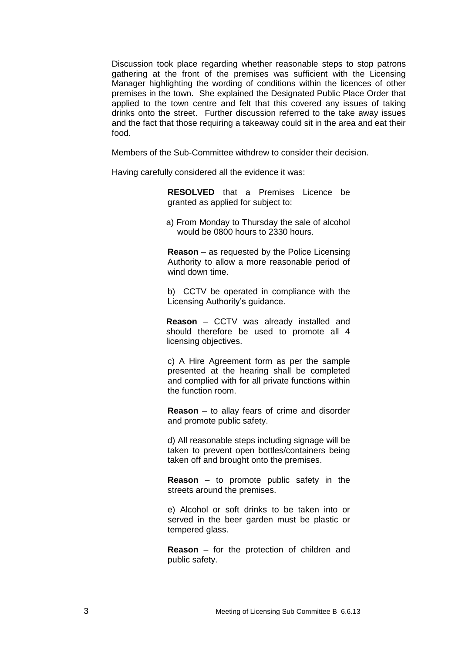Discussion took place regarding whether reasonable steps to stop patrons gathering at the front of the premises was sufficient with the Licensing Manager highlighting the wording of conditions within the licences of other premises in the town. She explained the Designated Public Place Order that applied to the town centre and felt that this covered any issues of taking drinks onto the street. Further discussion referred to the take away issues and the fact that those requiring a takeaway could sit in the area and eat their food.

Members of the Sub-Committee withdrew to consider their decision.

Having carefully considered all the evidence it was:

**RESOLVED** that a Premises Licence be granted as applied for subject to:

a) From Monday to Thursday the sale of alcohol would be 0800 hours to 2330 hours.

**Reason** – as requested by the Police Licensing Authority to allow a more reasonable period of wind down time.

b) CCTV be operated in compliance with the Licensing Authority's guidance.

**Reason** – CCTV was already installed and should therefore be used to promote all 4 licensing objectives.

c) A Hire Agreement form as per the sample presented at the hearing shall be completed and complied with for all private functions within the function room.

**Reason** – to allay fears of crime and disorder and promote public safety.

d) All reasonable steps including signage will be taken to prevent open bottles/containers being taken off and brought onto the premises.

**Reason** – to promote public safety in the streets around the premises.

e) Alcohol or soft drinks to be taken into or served in the beer garden must be plastic or tempered glass.

**Reason** – for the protection of children and public safety.